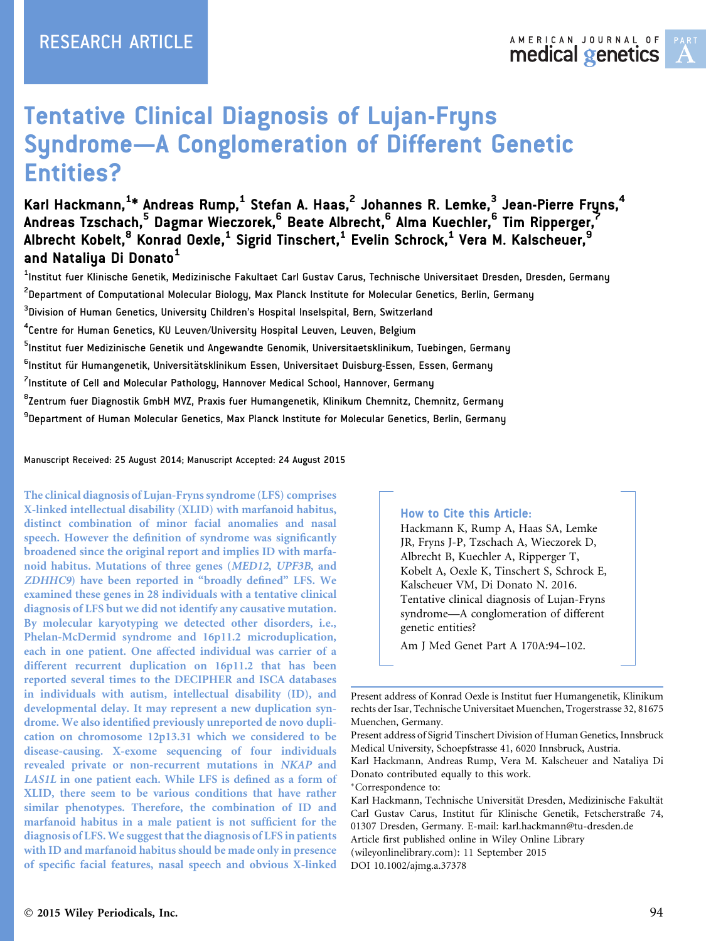

# Tentative Clinical Diagnosis of Lujan-Fryns Syndrome—A Conglomeration of Different Genetic Entities?

Karl Hackmann, $^{1*}$  Andreas Rump, $^1$  Stefan A. Haas, $^2$  Johannes R. Lemke, $^3$  Jean-Pierre Fryns, $^4$ Andreas Tzschach,<sup>5</sup> Dagmar Wieczorek,<sup>6</sup> Beate Albrecht,<sup>6</sup> Alma Kuechler,<sup>6</sup> Tim Ripperger,<sup>7</sup> Albrecht Kobelt,<sup>8</sup> Konrad Oexle,<sup>1</sup> Sigrid Tinschert,<sup>1</sup> Evelin Schrock,<sup>1</sup> Vera M. Kalscheuer,<sup>9</sup> and Nataliya Di Donato<sup>1</sup>

<sup>1</sup>Institut fuer Klinische Genetik, Medizinische Fakultaet Carl Gustav Carus, Technische Universitaet Dresden, Dresden, Germany

 $^{\text{2}}$ Department of Computational Molecular Biology, Max Planck Institute for Molecular Genetics, Berlin, Germany

 $^{\rm 3}$ Division of Human Genetics, University Children's Hospital Inselspital, Bern, Switzerland

 $^4$ Centre for Human Genetics, KU Leuven/University Hospital Leuven, Leuven, Belgium

<sup>5</sup>lnstitut fuer Medizinische Genetik und Angewandte Genomik, Universitaetsklinikum, Tuebingen, Germany

<sup>6</sup>lnstitut für Humangenetik, Universitätsklinikum Essen, Universitaet Duisburg-Essen, Essen, Germany

<sup>7</sup>Institute of Cell and Molecular Pathology, Hannover Medical School, Hannover, Germany

<sup>8</sup>Zentrum fuer Diagnostik GmbH MVZ, Praxis fuer Humangenetik, Klinikum Chemnitz, Chemnitz, Germany

<sup>9</sup>Department of Human Molecular Genetics, Max Planck Institute for Molecular Genetics, Berlin, Germany

Manuscript Received: 25 August 2014; Manuscript Accepted: 24 August 2015

The clinical diagnosis of Lujan-Fryns syndrome (LFS) comprises X-linked intellectual disability (XLID) with marfanoid habitus, distinct combination of minor facial anomalies and nasal speech. However the definition of syndrome was significantly broadened since the original report and implies ID with marfanoid habitus. Mutations of three genes (MED12, UPF3B, and ZDHHC9) have been reported in "broadly defined" LFS. We examined these genes in 28 individuals with a tentative clinical diagnosis of LFS but we did not identify any causative mutation. By molecular karyotyping we detected other disorders, i.e., Phelan-McDermid syndrome and 16p11.2 microduplication, each in one patient. One affected individual was carrier of a different recurrent duplication on 16p11.2 that has been reported several times to the DECIPHER and ISCA databases in individuals with autism, intellectual disability (ID), and developmental delay. It may represent a new duplication syndrome. We also identified previously unreported de novo duplication on chromosome 12p13.31 which we considered to be disease-causing. X-exome sequencing of four individuals revealed private or non-recurrent mutations in NKAP and LAS1L in one patient each. While LFS is defined as a form of XLID, there seem to be various conditions that have rather similar phenotypes. Therefore, the combination of ID and marfanoid habitus in a male patient is not sufficient for the diagnosis of LFS. We suggest that the diagnosis of LFS in patients with ID and marfanoid habitus should be made only in presence of specific facial features, nasal speech and obvious X-linked

#### How to Cite this Article:

Hackmann K, Rump A, Haas SA, Lemke JR, Fryns J-P, Tzschach A, Wieczorek D, Albrecht B, Kuechler A, Ripperger T, Kobelt A, Oexle K, Tinschert S, Schrock E, Kalscheuer VM, Di Donato N. 2016. Tentative clinical diagnosis of Lujan-Fryns syndrome—A conglomeration of different genetic entities?

Am J Med Genet Part A 170A:94–102.

Correspondence to:

DOI 10.1002/ajmg.a.37378

Present address of Konrad Oexle is Institut fuer Humangenetik, Klinikum rechts der Isar, Technische Universitaet Muenchen, Trogerstrasse 32, 81675 Muenchen, Germany.

Present address of Sigrid Tinschert Division of Human Genetics, Innsbruck Medical University, Schoepfstrasse 41, 6020 Innsbruck, Austria.

Karl Hackmann, Andreas Rump, Vera M. Kalscheuer and Nataliya Di Donato contributed equally to this work.

Karl Hackmann, Technische Universität Dresden, Medizinische Fakultät Carl Gustav Carus, Institut für Klinische Genetik, Fetscherstraße 74, 01307 Dresden, Germany. E-mail: karl.hackmann@tu-dresden.de Article first published online in Wiley Online Library (wileyonlinelibrary.com): 11 September 2015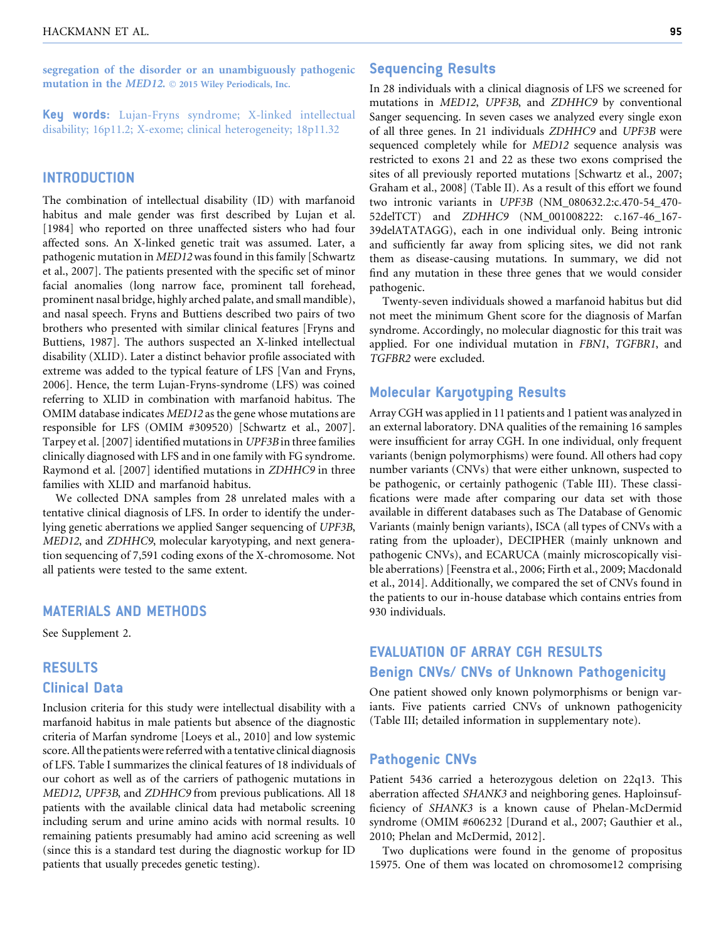segregation of the disorder or an unambiguously pathogenic mutation in the *MED12*.  $\odot$  2015 Wiley Periodicals, Inc.

Key words: Lujan-Fryns syndrome; X-linked intellectual disability; 16p11.2; X-exome; clinical heterogeneity; 18p11.32

## **INTRODUCTION**

The combination of intellectual disability (ID) with marfanoid habitus and male gender was first described by Lujan et al. [1984] who reported on three unaffected sisters who had four affected sons. An X-linked genetic trait was assumed. Later, a pathogenic mutation in MED12 was found in this family [Schwartz et al., 2007]. The patients presented with the specific set of minor facial anomalies (long narrow face, prominent tall forehead, prominent nasal bridge, highly arched palate, and small mandible), and nasal speech. Fryns and Buttiens described two pairs of two brothers who presented with similar clinical features [Fryns and Buttiens, 1987]. The authors suspected an X-linked intellectual disability (XLID). Later a distinct behavior profile associated with extreme was added to the typical feature of LFS [Van and Fryns, 2006]. Hence, the term Lujan-Fryns-syndrome (LFS) was coined referring to XLID in combination with marfanoid habitus. The OMIM database indicates MED12 as the gene whose mutations are responsible for LFS (OMIM #309520) [Schwartz et al., 2007]. Tarpey et al. [2007] identified mutations in UPF3B in three families clinically diagnosed with LFS and in one family with FG syndrome. Raymond et al. [2007] identified mutations in ZDHHC9 in three families with XLID and marfanoid habitus.

We collected DNA samples from 28 unrelated males with a tentative clinical diagnosis of LFS. In order to identify the underlying genetic aberrations we applied Sanger sequencing of UPF3B, MED12, and ZDHHC9, molecular karyotyping, and next generation sequencing of 7,591 coding exons of the X-chromosome. Not all patients were tested to the same extent.

## MATERIALS AND METHODS

See Supplement 2.

## RESULTS Clinical Data

Inclusion criteria for this study were intellectual disability with a marfanoid habitus in male patients but absence of the diagnostic criteria of Marfan syndrome [Loeys et al., 2010] and low systemic score. All the patients were referred with a tentative clinical diagnosis of LFS. Table I summarizes the clinical features of 18 individuals of our cohort as well as of the carriers of pathogenic mutations in MED12, UPF3B, and ZDHHC9 from previous publications. All 18 patients with the available clinical data had metabolic screening including serum and urine amino acids with normal results. 10 remaining patients presumably had amino acid screening as well (since this is a standard test during the diagnostic workup for ID patients that usually precedes genetic testing).

## Sequencing Results

In 28 individuals with a clinical diagnosis of LFS we screened for mutations in MED12, UPF3B, and ZDHHC9 by conventional Sanger sequencing. In seven cases we analyzed every single exon of all three genes. In 21 individuals ZDHHC9 and UPF3B were sequenced completely while for MED12 sequence analysis was restricted to exons 21 and 22 as these two exons comprised the sites of all previously reported mutations [Schwartz et al., 2007; Graham et al., 2008] (Table II). As a result of this effort we found two intronic variants in UPF3B (NM\_080632.2:c.470-54\_470- 52delTCT) and ZDHHC9 (NM\_001008222: c.167-46\_167- 39delATATAGG), each in one individual only. Being intronic and sufficiently far away from splicing sites, we did not rank them as disease-causing mutations. In summary, we did not find any mutation in these three genes that we would consider pathogenic.

Twenty-seven individuals showed a marfanoid habitus but did not meet the minimum Ghent score for the diagnosis of Marfan syndrome. Accordingly, no molecular diagnostic for this trait was applied. For one individual mutation in FBN1, TGFBR1, and TGFBR2 were excluded.

## Molecular Karyotyping Results

Array CGH was applied in 11 patients and 1 patient was analyzed in an external laboratory. DNA qualities of the remaining 16 samples were insufficient for array CGH. In one individual, only frequent variants (benign polymorphisms) were found. All others had copy number variants (CNVs) that were either unknown, suspected to be pathogenic, or certainly pathogenic (Table III). These classifications were made after comparing our data set with those available in different databases such as The Database of Genomic Variants (mainly benign variants), ISCA (all types of CNVs with a rating from the uploader), DECIPHER (mainly unknown and pathogenic CNVs), and ECARUCA (mainly microscopically visible aberrations) [Feenstra et al., 2006; Firth et al., 2009; Macdonald et al., 2014]. Additionally, we compared the set of CNVs found in the patients to our in-house database which contains entries from 930 individuals.

# EVALUATION OF ARRAY CGH RESULTS Benign CNVs/ CNVs of Unknown Pathogenicity

One patient showed only known polymorphisms or benign variants. Five patients carried CNVs of unknown pathogenicity (Table III; detailed information in supplementary note).

## Pathogenic CNVs

Patient 5436 carried a heterozygous deletion on 22q13. This aberration affected SHANK3 and neighboring genes. Haploinsufficiency of SHANK3 is a known cause of Phelan-McDermid syndrome (OMIM #606232 [Durand et al., 2007; Gauthier et al., 2010; Phelan and McDermid, 2012].

Two duplications were found in the genome of propositus 15975. One of them was located on chromosome12 comprising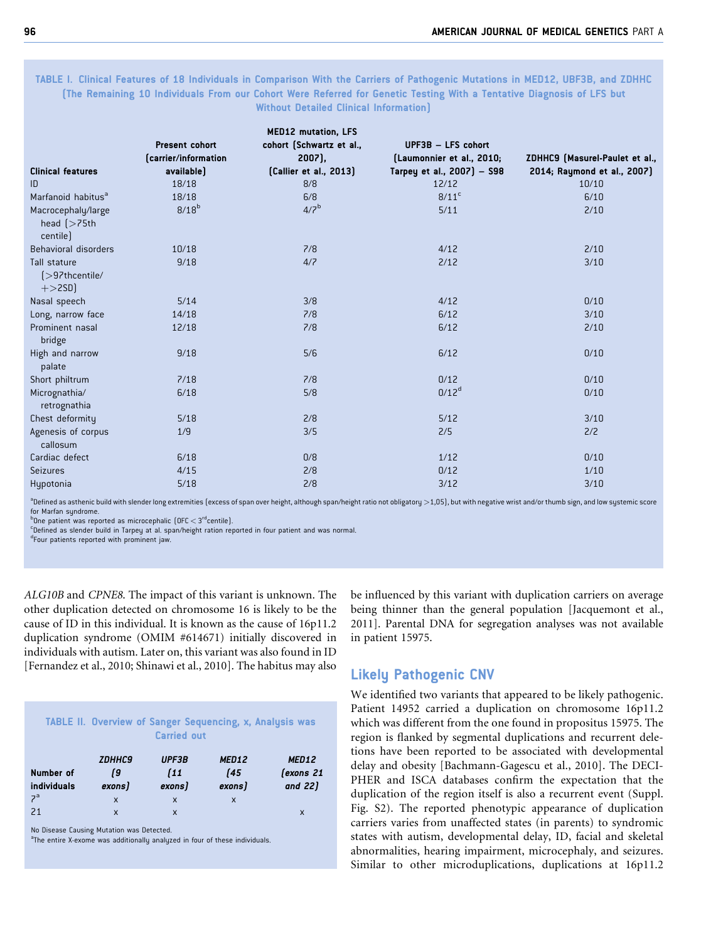#### TABLE I. Clinical Features of 18 Individuals in Comparison With the Carriers of Pathogenic Mutations in MED12, UBF3B, and ZDHHC (The Remaining 10 Individuals From our Cohort Were Referred for Genetic Testing With a Tentative Diagnosis of LFS but Without Detailed Clinical Information)

|                                                                             |                       | <b>MED12 mutation, LFS</b> |                            |                                |
|-----------------------------------------------------------------------------|-----------------------|----------------------------|----------------------------|--------------------------------|
|                                                                             | <b>Present cohort</b> | cohort (Schwartz et al.,   | UPF3B - LFS cohort         |                                |
|                                                                             | (carrier/information  | $2007$ ,                   | (Laumonnier et al., 2010;  | ZDHHC9 (Masurel-Paulet et al., |
| <b>Clinical features</b>                                                    | available)            | (Callier et al., 2013)     | Tarpey et al., 2007) - S98 | 2014; Raymond et al., 2007)    |
| ID                                                                          | 18/18                 | 8/8                        | 12/12                      | 10/10                          |
| Marfanoid habitus <sup>a</sup>                                              | 18/18                 | 6/8                        | $8/11$ <sup>c</sup>        | 6/10                           |
| Macrocephaly/large<br>head $\left\{\text{>}75\text{th}\right\}$<br>centile) | 8/18 <sup>b</sup>     | 4/7 <sup>b</sup>           | 5/11                       | 2/10                           |
| Behavioral disorders                                                        | 10/18                 | 7/8                        | 4/12                       | 2/10                           |
| Tall stature<br>[>97thcentile/<br>$+$ > 2SD)                                | 9/18                  | 4/7                        | 2/12                       | 3/10                           |
| Nasal speech                                                                | 5/14                  | 3/8                        | 4/12                       | 0/10                           |
| Long, narrow face                                                           | 14/18                 | 7/8                        | 6/12                       | 3/10                           |
| Prominent nasal<br>bridge                                                   | 12/18                 | 7/8                        | 6/12                       | 2/10                           |
| High and narrow<br>palate                                                   | 9/18                  | 5/6                        | 6/12                       | 0/10                           |
| Short philtrum                                                              | 7/18                  | 7/8                        | 0/12                       | 0/10                           |
| Micrognathia/<br>retrognathia                                               | 6/18                  | 5/8                        | 0/12 <sup>d</sup>          | 0/10                           |
| Chest deformity                                                             | 5/18                  | 2/8                        | 5/12                       | 3/10                           |
| Agenesis of corpus<br>callosum                                              | 1/9                   | 3/5                        | 2/5                        | 2/2                            |
| Cardiac defect                                                              | 6/18                  | 0/8                        | 1/12                       | 0/10                           |
| Seizures                                                                    | 4/15                  | 2/8                        | 0/12                       | 1/10                           |
| Hypotonia                                                                   | $5/18$                | 2/8                        | 3/12                       | 3/10                           |

<sup>a</sup>Defined as asthenic build with slender long extremities (excess of span over height, although span/height ratio not obligatory  $>$  1,05), but with negative wrist and/or thumb sign, and low systemic score for Marfan syndrome.

 $b_{\text{One patient}}$  was reported as microcephalic (OFC  $\leq 3^{rd}$ centile).

<sup>c</sup>Defined as slender build in Tarpey at al. span/height ration reported in four patient and was normal.

d Four patients reported with prominent jaw.

ALG10B and CPNE8. The impact of this variant is unknown. The other duplication detected on chromosome 16 is likely to be the cause of ID in this individual. It is known as the cause of 16p11.2 duplication syndrome (OMIM #614671) initially discovered in individuals with autism. Later on, this variant was also found in ID [Fernandez et al., 2010; Shinawi et al., 2010]. The habitus may also

| TABLE II. Overview of Sanger Sequencing, x, Analysis was<br><b>Carried out</b> |                               |                                |                               |                               |
|--------------------------------------------------------------------------------|-------------------------------|--------------------------------|-------------------------------|-------------------------------|
| Number of<br>individuals                                                       | <b>ZDHHC9</b><br>19<br>exons) | UPF3B<br>$\sqrt{11}$<br>exons) | MED12<br><b>f45</b><br>exons) | MED12<br>(exons 21<br>and 22) |
| 7 <sup>a</sup>                                                                 | $\mathsf{x}$                  | $\boldsymbol{\mathsf{x}}$      | X                             |                               |
| 21                                                                             | $\mathsf{x}$                  | X                              |                               | X                             |

No Disease Causing Mutation was Detected.

<sup>a</sup>The entire X-exome was additionally analyzed in four of these individuals.

be influenced by this variant with duplication carriers on average being thinner than the general population [Jacquemont et al., 2011]. Parental DNA for segregation analyses was not available in patient 15975.

## Likely Pathogenic CNV

We identified two variants that appeared to be likely pathogenic. Patient 14952 carried a duplication on chromosome 16p11.2 which was different from the one found in propositus 15975. The region is flanked by segmental duplications and recurrent deletions have been reported to be associated with developmental delay and obesity [Bachmann-Gagescu et al., 2010]. The DECI-PHER and ISCA databases confirm the expectation that the duplication of the region itself is also a recurrent event (Suppl. Fig. S2). The reported phenotypic appearance of duplication carriers varies from unaffected states (in parents) to syndromic states with autism, developmental delay, ID, facial and skeletal abnormalities, hearing impairment, microcephaly, and seizures. Similar to other microduplications, duplications at 16p11.2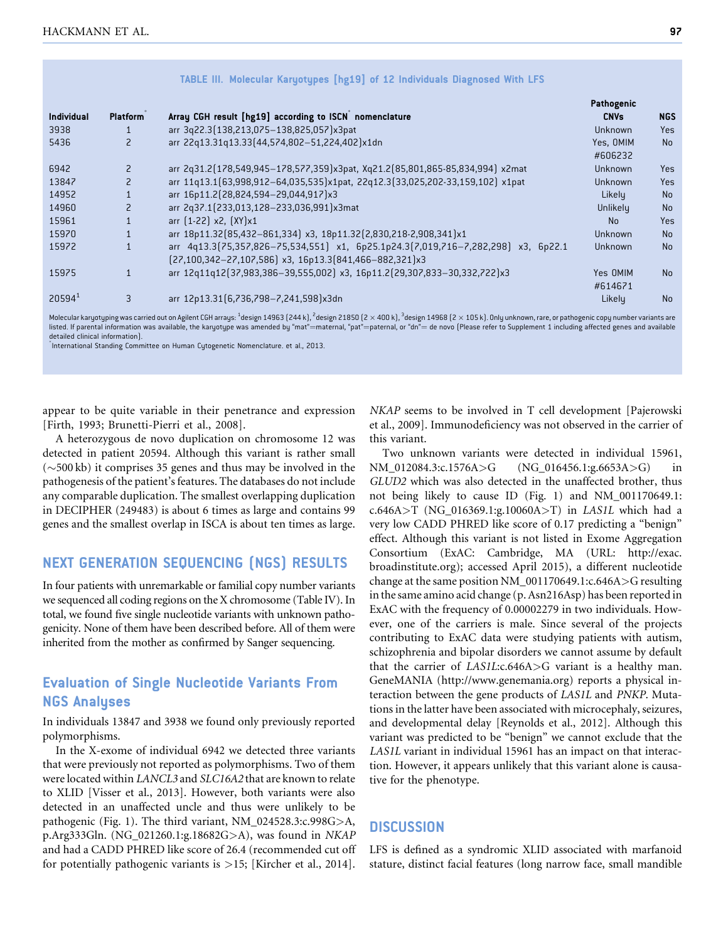|                    |                          |                                                                                                                                                   | Pathogenic           |                |
|--------------------|--------------------------|---------------------------------------------------------------------------------------------------------------------------------------------------|----------------------|----------------|
| Individual         | <b>Platform</b>          | Array CGH result [hg19] according to ISCN nomenclature                                                                                            | <b>CNVs</b>          | <b>NGS</b>     |
| 3938               |                          | arr 3q22.3(138,213,075-138,825,057)x3pat                                                                                                          | Unknown              | <b>Yes</b>     |
| 5436               | $\overline{\phantom{0}}$ | arr 22q13.31q13.33(44,574,802-51,224,402)x1dn                                                                                                     | Yes, OMIM<br>#606232 | N <sub>0</sub> |
| 6942               | $\overline{c}$           | arr 2q31.2(178,549,945-178,577,359)x3pat, Xq21.2(85,801,865-85,834,994) x2mat                                                                     | Unknown              | <b>Yes</b>     |
| 13847              | $\overline{z}$           | arr 11q13.1(63,998,912-64,035,535)x1pat, 22q12.3(33,025,202-33,159,102) x1pat                                                                     | Unknown              | <b>Yes</b>     |
| 14952              |                          | arr 16p11.2(28,824,594-29,044,917)x3                                                                                                              | Likely               | <b>No</b>      |
| 14960              |                          | arr 2q37.1(233,013,128-233,036,991)x3mat                                                                                                          | Unlikely             | <b>No</b>      |
| 15961              |                          | arr [1-22] x2, [XY]x1                                                                                                                             | N <sub>0</sub>       | <b>Yes</b>     |
| 15970              |                          | arr 18p11.32(85,432-861,334) x3, 18p11.32(2,830,218-2,908,341)x1                                                                                  | Unknown              | <b>No</b>      |
| 15972              |                          | arr 4q13.3(75,357,826-75,534,551) x1, 6p25.1p24.3(7,019,716-7,282,298) x3, 6p22.1<br>$[27,100,342-27,107,586]$ x3, 16p13.3 $[841,466-882,321]$ x3 | Unknown              | <b>No</b>      |
| 15975              | $\mathbf{1}$             | arr 12q11q12(37,983,386-39,555,002) x3, 16p11.2(29,307,833-30,332,722)x3                                                                          | Yes OMIM<br>#614671  | N <sub>0</sub> |
| 20594 <sup>1</sup> | 3                        | arr 12p13.31(6,736,798-7,241,598)x3dn                                                                                                             | Likely               | <b>No</b>      |

TABLE III. Molecular Karyotypes [hg19] of 12 Individuals Diagnosed With LFS

Molecular karyotyping was carried out on Agilent CGH arrays: <sup>1</sup>design 14963 (244 k), <sup>2</sup>design 21850 (2 × 400 k), <sup>3</sup>design 14968 (2 × 105 k). Only unknown, rare, or pathogenic copy number variants are listed. If parental information was available, the karyotype was amended by "mat"=maternal, "pat"=paternal, or "dn"= de novo (Please refer to Supplement 1 including affected genes and available detailed clinical information).

 $\degree$ International Standing Committee on Human Cytogenetic Nomenclature. et al., 2013.

appear to be quite variable in their penetrance and expression [Firth, 1993; Brunetti-Pierri et al., 2008].

A heterozygous de novo duplication on chromosome 12 was detected in patient 20594. Although this variant is rather small  $(\sim 500 \text{ kb})$  it comprises 35 genes and thus may be involved in the pathogenesis of the patient's features. The databases do not include any comparable duplication. The smallest overlapping duplication in DECIPHER (249483) is about 6 times as large and contains 99 genes and the smallest overlap in ISCA is about ten times as large.

## NEXT GENERATION SEQUENCING (NGS) RESULTS

In four patients with unremarkable or familial copy number variants we sequenced all coding regions on the X chromosome (Table IV). In total, we found five single nucleotide variants with unknown pathogenicity. None of them have been described before. All of them were inherited from the mother as confirmed by Sanger sequencing.

# Evaluation of Single Nucleotide Variants From NGS Analyses

In individuals 13847 and 3938 we found only previously reported polymorphisms.

In the X-exome of individual 6942 we detected three variants that were previously not reported as polymorphisms. Two of them were located within LANCL3 and SLC16A2 that are known to relate to XLID [Visser et al., 2013]. However, both variants were also detected in an unaffected uncle and thus were unlikely to be pathogenic (Fig. 1). The third variant, NM\_024528.3:c.998G>A, p.Arg333Gln. (NG\_021260.1:g.18682G>A), was found in NKAP and had a CADD PHRED like score of 26.4 (recommended cut off for potentially pathogenic variants is >15; [Kircher et al., 2014].

NKAP seems to be involved in T cell development [Pajerowski et al., 2009]. Immunodeficiency was not observed in the carrier of this variant.

Two unknown variants were detected in individual 15961, NM\_012084.3:c.1576A>G (NG\_016456.1:g.6653A>G) in GLUD2 which was also detected in the unaffected brother, thus not being likely to cause ID (Fig. 1) and NM\_001170649.1: c.646A>T (NG\_016369.1:g.10060A>T) in LAS1L which had a very low CADD PHRED like score of 0.17 predicting a "benign" effect. Although this variant is not listed in Exome Aggregation Consortium (ExAC: Cambridge, MA (URL: [http://exac.](http://exac.broadinstitute.org) [broadinstitute.org\)](http://exac.broadinstitute.org); accessed April 2015), a different nucleotide change at the same position NM\_001170649.1:c.646A>G resulting in the same amino acid change (p. Asn216Asp) has been reported in ExAC with the frequency of 0.00002279 in two individuals. However, one of the carriers is male. Since several of the projects contributing to ExAC data were studying patients with autism, schizophrenia and bipolar disorders we cannot assume by default that the carrier of LAS1L:c.646A>G variant is a healthy man. GeneMANIA [\(http://www.genemania.org\)](http://www.genemania.org) reports a physical interaction between the gene products of LAS1L and PNKP. Mutations in the latter have been associated with microcephaly, seizures, and developmental delay [Reynolds et al., 2012]. Although this variant was predicted to be "benign" we cannot exclude that the LAS1L variant in individual 15961 has an impact on that interaction. However, it appears unlikely that this variant alone is causative for the phenotype.

## **DISCUSSION**

LFS is defined as a syndromic XLID associated with marfanoid stature, distinct facial features (long narrow face, small mandible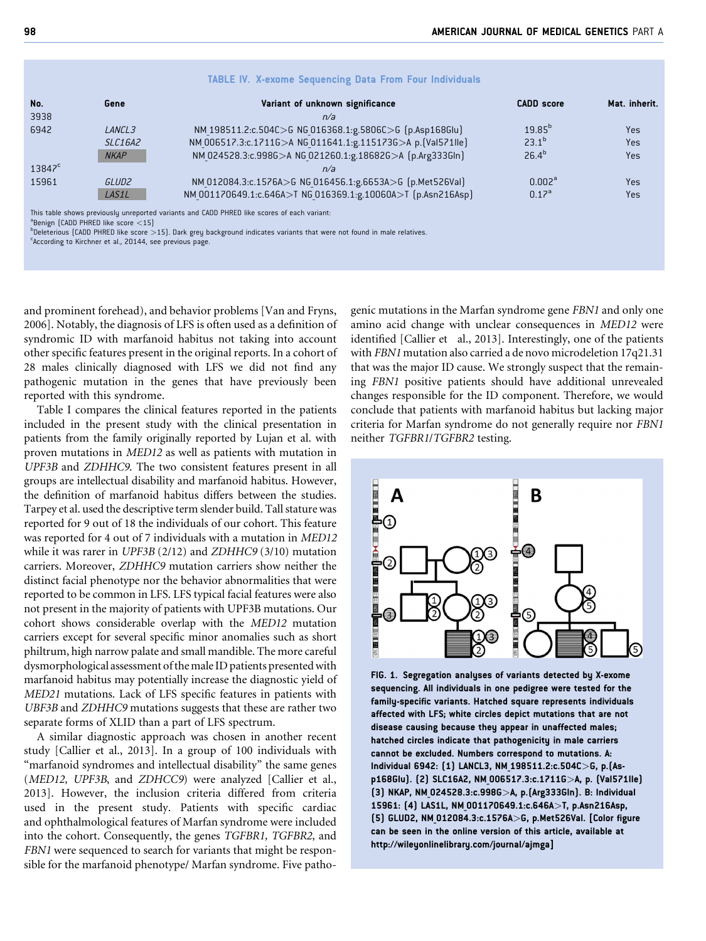|  | <b>TABLE IV. X-exome Sequencing Data From Four Individuals</b> |  |  |  |
|--|----------------------------------------------------------------|--|--|--|
|--|----------------------------------------------------------------|--|--|--|

| No.             | Gene               | Variant of unknown significance                                                                                                                                                                                                | <b>CADD</b> score  | Mat. inherit. |
|-----------------|--------------------|--------------------------------------------------------------------------------------------------------------------------------------------------------------------------------------------------------------------------------|--------------------|---------------|
| 3938            |                    | n/a                                                                                                                                                                                                                            |                    |               |
| 6942            | LANCL <sub>3</sub> | NM 198511.2:c.504C>G NG 016368.1:g.5806C>G [p.Asp168Glu]                                                                                                                                                                       | $19.85^{b}$        | Yes           |
|                 | <b>SLC16A2</b>     | NM 006517.3:c.17116>A NG 011641.1:g.1151736>A p. [Val571lle]                                                                                                                                                                   | $23.1^{b}$         | Yes           |
|                 | <b>NKAP</b>        | NM 024528.3:c.998G>A NG 021260.1:g.18682G>A (p.Arg333Gln)                                                                                                                                                                      | $26.4^{b}$         | Yes           |
| $13847^{\circ}$ |                    | n/a                                                                                                                                                                                                                            |                    |               |
| 15961           | GLUD <sub>2</sub>  | NM 012084.3:c.1576A>G NG 016456.1:g.6653A>G [p.Met526Val]                                                                                                                                                                      | 0.002 <sup>a</sup> | Yes           |
|                 | LAS1L              | NM 001170649.1:c.646A>T NG 016369.1:g.10060A>T (p.Asn216Asp)                                                                                                                                                                   | 0.17 <sup>a</sup>  | Yes           |
|                 |                    | THE REPORT OF THE REPORT OF THE REPORT OF THE REPORT OF THE REPORT OF THE REPORT OF THE REPORT OF THE REPORT OF THE REPORT OF THE REPORT OF THE REPORT OF THE REPORT OF THE REPORT OF THE REPORT OF THE REPORT OF THE REPORT O |                    |               |

This table shows previously unreported variants and CADD PHRED like scores of each variant:

 $^{\circ}$ Benign (CADD PHRED like score  $<$ 15)<br> $^{\circ}$ Deleteriaus (CADD PHPED like score  $>$ 

**Deleterious (CADD PHRED like score >15). Dark grey background indicates variants that were not found in male relatives.** 

According to Kirchner et al., 20144, see previous page.

and prominent forehead), and behavior problems [Van and Fryns, 2006]. Notably, the diagnosis of LFS is often used as a definition of syndromic ID with marfanoid habitus not taking into account other specific features present in the original reports. In a cohort of 28 males clinically diagnosed with LFS we did not find any pathogenic mutation in the genes that have previously been reported with this syndrome.

Table I compares the clinical features reported in the patients included in the present study with the clinical presentation in patients from the family originally reported by Lujan et al. with proven mutations in MED12 as well as patients with mutation in UPF3B and ZDHHC9. The two consistent features present in all groups are intellectual disability and marfanoid habitus. However, the definition of marfanoid habitus differs between the studies. Tarpey et al. used the descriptive term slender build. Tall stature was reported for 9 out of 18 the individuals of our cohort. This feature was reported for 4 out of 7 individuals with a mutation in MED12 while it was rarer in UPF3B (2/12) and ZDHHC9 (3/10) mutation carriers. Moreover, ZDHHC9 mutation carriers show neither the distinct facial phenotype nor the behavior abnormalities that were reported to be common in LFS. LFS typical facial features were also not present in the majority of patients with UPF3B mutations. Our cohort shows considerable overlap with the MED12 mutation carriers except for several specific minor anomalies such as short philtrum, high narrow palate and small mandible. The more careful dysmorphological assessment of themale ID patients presented with marfanoid habitus may potentially increase the diagnostic yield of MED21 mutations. Lack of LFS specific features in patients with UBF3B and ZDHHC9 mutations suggests that these are rather two separate forms of XLID than a part of LFS spectrum.

A similar diagnostic approach was chosen in another recent study [Callier et al., 2013]. In a group of 100 individuals with "marfanoid syndromes and intellectual disability" the same genes (MED12, UPF3B, and ZDHCC9) were analyzed [Callier et al., 2013]. However, the inclusion criteria differed from criteria used in the present study. Patients with specific cardiac and ophthalmological features of Marfan syndrome were included into the cohort. Consequently, the genes TGFBR1, TGFBR2, and FBN1 were sequenced to search for variants that might be responsible for the marfanoid phenotype/ Marfan syndrome. Five pathogenic mutations in the Marfan syndrome gene FBN1 and only one amino acid change with unclear consequences in MED12 were identified [Callier et al., 2013]. Interestingly, one of the patients with FBN1 mutation also carried a de novo microdeletion 17q21.31 that was the major ID cause. We strongly suspect that the remaining FBN1 positive patients should have additional unrevealed changes responsible for the ID component. Therefore, we would conclude that patients with marfanoid habitus but lacking major criteria for Marfan syndrome do not generally require nor FBN1 neither TGFBR1/TGFBR2 testing.



FIG. 1. Segregation analyses of variants detected by X-exome sequencing. All individuals in one pedigree were tested for the family-specific variants. Hatched square represents individuals affected with LFS; white circles depict mutations that are not disease causing because they appear in unaffected males; hatched circles indicate that pathogenicity in male carriers cannot be excluded. Numbers correspond to mutations. A: Individual 6942: (1) LANCL3, NM\_198511.2:c.504C>G, p.(Asp168Glu). (2) SLC16A2, NM\_006517.3:c.1711G>A, p. (Val571Ile) (3) NKAP, NM\_024528.3:c.998G>A, p.(Arg333Gln). B: Individual 15961: (4) LAS1L, NM\_001170649.1:c.646A>T, p.Asn216Asp, (5) GLUD2, NM\_012084.3:c.1576A>G, p.Met526Val. [Color figure can be seen in the online version of this article, available at [http://wileyonlinelibrary.com/journal/ajmga\]](http://wileyonlinelibrary.com/journal/ajmga)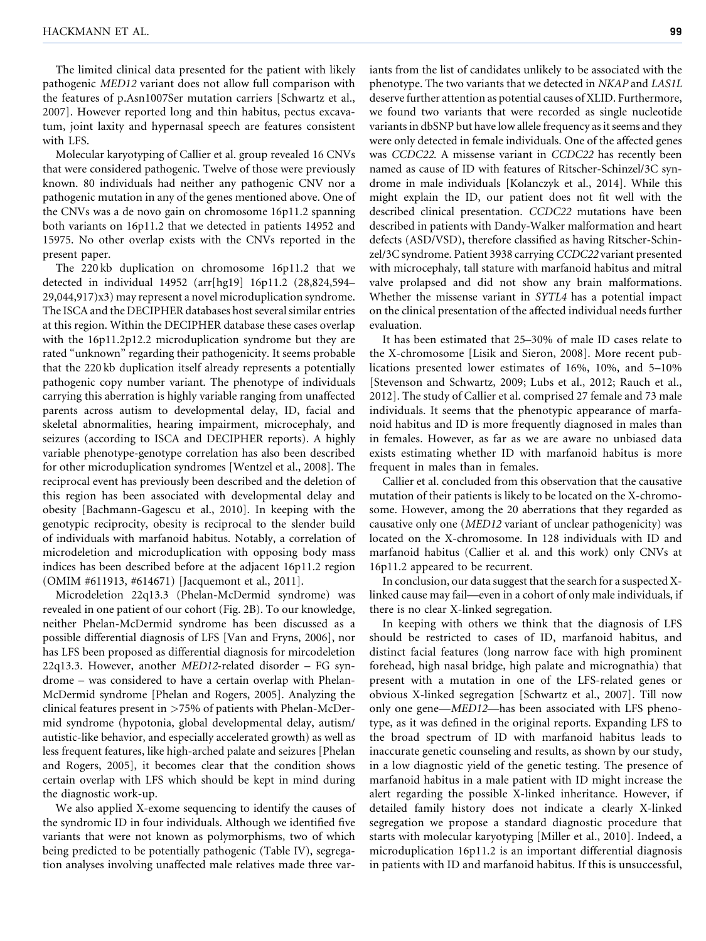The limited clinical data presented for the patient with likely pathogenic MED12 variant does not allow full comparison with the features of p.Asn1007Ser mutation carriers [Schwartz et al., 2007]. However reported long and thin habitus, pectus excavatum, joint laxity and hypernasal speech are features consistent with LFS.

Molecular karyotyping of Callier et al. group revealed 16 CNVs that were considered pathogenic. Twelve of those were previously known. 80 individuals had neither any pathogenic CNV nor a pathogenic mutation in any of the genes mentioned above. One of the CNVs was a de novo gain on chromosome 16p11.2 spanning both variants on 16p11.2 that we detected in patients 14952 and 15975. No other overlap exists with the CNVs reported in the present paper.

The 220 kb duplication on chromosome 16p11.2 that we detected in individual 14952 (arr[hg19] 16p11.2 (28,824,594– 29,044,917)x3) may represent a novel microduplication syndrome. The ISCA and the DECIPHER databases host several similar entries at this region. Within the DECIPHER database these cases overlap with the 16p11.2p12.2 microduplication syndrome but they are rated "unknown" regarding their pathogenicity. It seems probable that the 220 kb duplication itself already represents a potentially pathogenic copy number variant. The phenotype of individuals carrying this aberration is highly variable ranging from unaffected parents across autism to developmental delay, ID, facial and skeletal abnormalities, hearing impairment, microcephaly, and seizures (according to ISCA and DECIPHER reports). A highly variable phenotype-genotype correlation has also been described for other microduplication syndromes [Wentzel et al., 2008]. The reciprocal event has previously been described and the deletion of this region has been associated with developmental delay and obesity [Bachmann-Gagescu et al., 2010]. In keeping with the genotypic reciprocity, obesity is reciprocal to the slender build of individuals with marfanoid habitus. Notably, a correlation of microdeletion and microduplication with opposing body mass indices has been described before at the adjacent 16p11.2 region (OMIM #611913, #614671) [Jacquemont et al., 2011].

Microdeletion 22q13.3 (Phelan-McDermid syndrome) was revealed in one patient of our cohort (Fig. 2B). To our knowledge, neither Phelan-McDermid syndrome has been discussed as a possible differential diagnosis of LFS [Van and Fryns, 2006], nor has LFS been proposed as differential diagnosis for mircodeletion 22q13.3. However, another MED12-related disorder – FG syndrome – was considered to have a certain overlap with Phelan-McDermid syndrome [Phelan and Rogers, 2005]. Analyzing the clinical features present in >75% of patients with Phelan-McDermid syndrome (hypotonia, global developmental delay, autism/ autistic-like behavior, and especially accelerated growth) as well as less frequent features, like high-arched palate and seizures [Phelan and Rogers, 2005], it becomes clear that the condition shows certain overlap with LFS which should be kept in mind during the diagnostic work-up.

We also applied X-exome sequencing to identify the causes of the syndromic ID in four individuals. Although we identified five variants that were not known as polymorphisms, two of which being predicted to be potentially pathogenic (Table IV), segregation analyses involving unaffected male relatives made three variants from the list of candidates unlikely to be associated with the phenotype. The two variants that we detected in NKAP and LAS1L deserve further attention as potential causes of XLID. Furthermore, we found two variants that were recorded as single nucleotide variants in dbSNP but have low allele frequency as it seems and they were only detected in female individuals. One of the affected genes was CCDC22. A missense variant in CCDC22 has recently been named as cause of ID with features of Ritscher-Schinzel/3C syndrome in male individuals [Kolanczyk et al., 2014]. While this might explain the ID, our patient does not fit well with the described clinical presentation. CCDC22 mutations have been described in patients with Dandy-Walker malformation and heart defects (ASD/VSD), therefore classified as having Ritscher-Schinzel/3C syndrome. Patient 3938 carrying CCDC22 variant presented with microcephaly, tall stature with marfanoid habitus and mitral valve prolapsed and did not show any brain malformations. Whether the missense variant in SYTL4 has a potential impact on the clinical presentation of the affected individual needs further evaluation.

It has been estimated that 25–30% of male ID cases relate to the X-chromosome [Lisik and Sieron, 2008]. More recent publications presented lower estimates of 16%, 10%, and 5–10% [Stevenson and Schwartz, 2009; Lubs et al., 2012; Rauch et al., 2012]. The study of Callier et al. comprised 27 female and 73 male individuals. It seems that the phenotypic appearance of marfanoid habitus and ID is more frequently diagnosed in males than in females. However, as far as we are aware no unbiased data exists estimating whether ID with marfanoid habitus is more frequent in males than in females.

Callier et al. concluded from this observation that the causative mutation of their patients is likely to be located on the X-chromosome. However, among the 20 aberrations that they regarded as causative only one (MED12 variant of unclear pathogenicity) was located on the X-chromosome. In 128 individuals with ID and marfanoid habitus (Callier et al. and this work) only CNVs at 16p11.2 appeared to be recurrent.

In conclusion, our data suggest that the search for a suspected Xlinked cause may fail—even in a cohort of only male individuals, if there is no clear X-linked segregation.

In keeping with others we think that the diagnosis of LFS should be restricted to cases of ID, marfanoid habitus, and distinct facial features (long narrow face with high prominent forehead, high nasal bridge, high palate and micrognathia) that present with a mutation in one of the LFS-related genes or obvious X-linked segregation [Schwartz et al., 2007]. Till now only one gene—MED12—has been associated with LFS phenotype, as it was defined in the original reports. Expanding LFS to the broad spectrum of ID with marfanoid habitus leads to inaccurate genetic counseling and results, as shown by our study, in a low diagnostic yield of the genetic testing. The presence of marfanoid habitus in a male patient with ID might increase the alert regarding the possible X-linked inheritance. However, if detailed family history does not indicate a clearly X-linked segregation we propose a standard diagnostic procedure that starts with molecular karyotyping [Miller et al., 2010]. Indeed, a microduplication 16p11.2 is an important differential diagnosis in patients with ID and marfanoid habitus. If this is unsuccessful,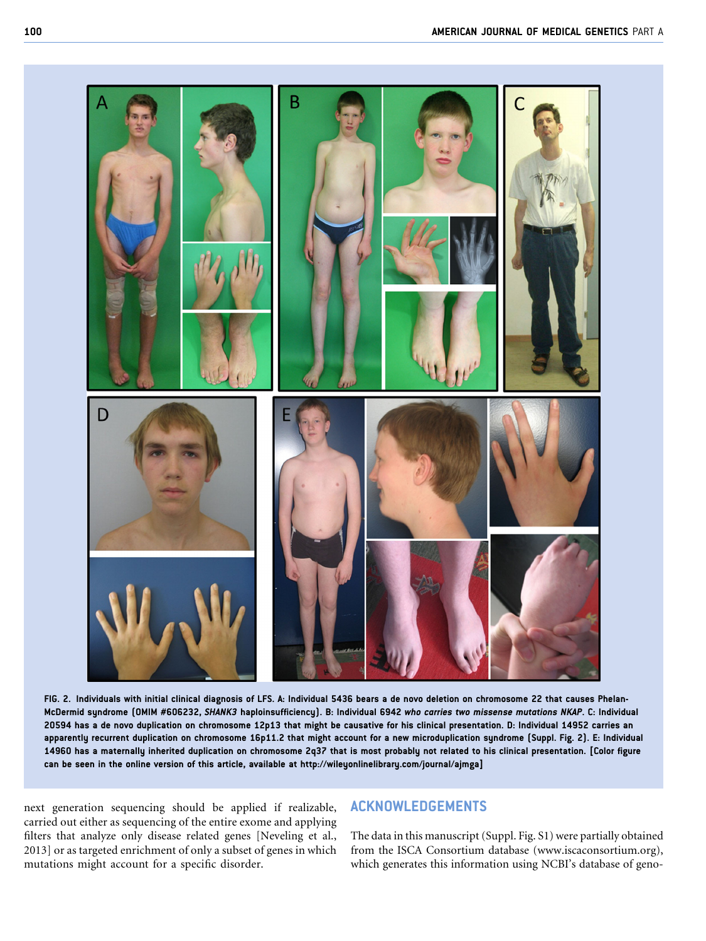

FIG. 2. Individuals with initial clinical diagnosis of LFS. A: Individual 5436 bears a de novo deletion on chromosome 22 that causes Phelan-McDermid syndrome (OMIM #606232, SHANK3 haploinsufficiency). B: Individual 6942 who carries two missense mutations NKAP. C: Individual 20594 has a de novo duplication on chromosome 12p13 that might be causative for his clinical presentation. D: Individual 14952 carries an apparently recurrent duplication on chromosome 16p11.2 that might account for a new microduplication syndrome (Suppl. Fig. 2). E: Individual 14960 has a maternally inherited duplication on chromosome 2q37 that is most probably not related to his clinical presentation. [Color figure can be seen in the online version of this article, available at<http://wileyonlinelibrary.com/journal/ajmga>]

next generation sequencing should be applied if realizable, carried out either as sequencing of the entire exome and applying filters that analyze only disease related genes [Neveling et al., 2013] or as targeted enrichment of only a subset of genes in which mutations might account for a specific disorder.

## ACKNOWLEDGEMENTS

The data in this manuscript (Suppl. Fig. S1) were partially obtained from the ISCA Consortium database [\(www.iscaconsortium.org\)](http://www.iscaconsortium.org), which generates this information using NCBI's database of geno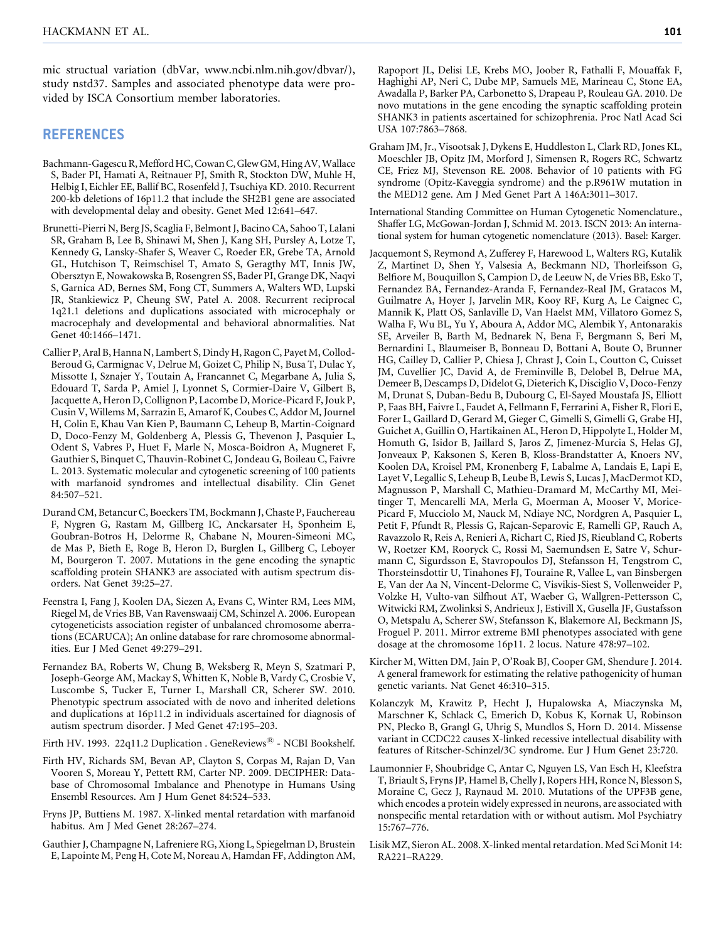mic structual variation (dbVar, [www.ncbi.nlm.nih.gov/dbvar/\)](http://www.ncbi.nlm.nih.gov/dbvar/), study nstd37. Samples and associated phenotype data were provided by ISCA Consortium member laboratories.

#### REFERENCES

- Bachmann-Gagescu R, Mefford HC, Cowan C, Glew GM, Hing AV, Wallace S, Bader PI, Hamati A, Reitnauer PJ, Smith R, Stockton DW, Muhle H, Helbig I, Eichler EE, Ballif BC, Rosenfeld J, Tsuchiya KD. 2010. Recurrent 200-kb deletions of 16p11.2 that include the SH2B1 gene are associated with developmental delay and obesity. Genet Med 12:641–647.
- Brunetti-Pierri N, Berg JS, Scaglia F, Belmont J, Bacino CA, Sahoo T, Lalani SR, Graham B, Lee B, Shinawi M, Shen J, Kang SH, Pursley A, Lotze T, Kennedy G, Lansky-Shafer S, Weaver C, Roeder ER, Grebe TA, Arnold GL, Hutchison T, Reimschisel T, Amato S, Geragthy MT, Innis JW, Obersztyn E, Nowakowska B, Rosengren SS, Bader PI, Grange DK, Naqvi S, Garnica AD, Bernes SM, Fong CT, Summers A, Walters WD, Lupski JR, Stankiewicz P, Cheung SW, Patel A. 2008. Recurrent reciprocal 1q21.1 deletions and duplications associated with microcephaly or macrocephaly and developmental and behavioral abnormalities. Nat Genet 40:1466–1471.
- Callier P, Aral B, Hanna N, Lambert S, Dindy H, Ragon C, Payet M, Collod-Beroud G, Carmignac V, Delrue M, Goizet C, Philip N, Busa T, Dulac Y, Missotte I, Sznajer Y, Toutain A, Francannet C, Megarbane A, Julia S, Edouard T, Sarda P, Amiel J, Lyonnet S, Cormier-Daire V, Gilbert B, Jacquette A, Heron D, Collignon P, Lacombe D, Morice-Picard F, Jouk P, Cusin V, Willems M, Sarrazin E, Amarof K, Coubes C, Addor M, Journel H, Colin E, Khau Van Kien P, Baumann C, Leheup B, Martin-Coignard D, Doco-Fenzy M, Goldenberg A, Plessis G, Thevenon J, Pasquier L, Odent S, Vabres P, Huet F, Marle N, Mosca-Boidron A, Mugneret F, Gauthier S, Binquet C, Thauvin-Robinet C, Jondeau G, Boileau C, Faivre L. 2013. Systematic molecular and cytogenetic screening of 100 patients with marfanoid syndromes and intellectual disability. Clin Genet 84:507–521.
- Durand CM, Betancur C, Boeckers TM, Bockmann J, Chaste P, Fauchereau F, Nygren G, Rastam M, Gillberg IC, Anckarsater H, Sponheim E, Goubran-Botros H, Delorme R, Chabane N, Mouren-Simeoni MC, de Mas P, Bieth E, Roge B, Heron D, Burglen L, Gillberg C, Leboyer M, Bourgeron T. 2007. Mutations in the gene encoding the synaptic scaffolding protein SHANK3 are associated with autism spectrum disorders. Nat Genet 39:25–27.
- Feenstra I, Fang J, Koolen DA, Siezen A, Evans C, Winter RM, Lees MM, Riegel M, de Vries BB, Van Ravenswaaij CM, Schinzel A. 2006. European cytogeneticists association register of unbalanced chromosome aberrations (ECARUCA); An online database for rare chromosome abnormalities. Eur J Med Genet 49:279–291.
- Fernandez BA, Roberts W, Chung B, Weksberg R, Meyn S, Szatmari P, Joseph-George AM, Mackay S, Whitten K, Noble B, Vardy C, Crosbie V, Luscombe S, Tucker E, Turner L, Marshall CR, Scherer SW. 2010. Phenotypic spectrum associated with de novo and inherited deletions and duplications at 16p11.2 in individuals ascertained for diagnosis of autism spectrum disorder. J Med Genet 47:195–203.
- Firth HV. 1993. 22q11.2 Duplication . GeneReviews<sup>®</sup> NCBI Bookshelf.
- Firth HV, Richards SM, Bevan AP, Clayton S, Corpas M, Rajan D, Van Vooren S, Moreau Y, Pettett RM, Carter NP. 2009. DECIPHER: Database of Chromosomal Imbalance and Phenotype in Humans Using Ensembl Resources. Am J Hum Genet 84:524–533.
- Fryns JP, Buttiens M. 1987. X-linked mental retardation with marfanoid habitus. Am J Med Genet 28:267–274.
- Gauthier J, Champagne N, Lafreniere RG, Xiong L, Spiegelman D, Brustein E, Lapointe M, Peng H, Cote M, Noreau A, Hamdan FF, Addington AM,

Rapoport JL, Delisi LE, Krebs MO, Joober R, Fathalli F, Mouaffak F, Haghighi AP, Neri C, Dube MP, Samuels ME, Marineau C, Stone EA, Awadalla P, Barker PA, Carbonetto S, Drapeau P, Rouleau GA. 2010. De novo mutations in the gene encoding the synaptic scaffolding protein SHANK3 in patients ascertained for schizophrenia. Proc Natl Acad Sci USA 107:7863–7868.

- Graham JM, Jr., Visootsak J, Dykens E, Huddleston L, Clark RD, Jones KL, Moeschler JB, Opitz JM, Morford J, Simensen R, Rogers RC, Schwartz CE, Friez MJ, Stevenson RE. 2008. Behavior of 10 patients with FG syndrome (Opitz-Kaveggia syndrome) and the p.R961W mutation in the MED12 gene. Am J Med Genet Part A 146A:3011–3017.
- International Standing Committee on Human Cytogenetic Nomenclature., Shaffer LG, McGowan-Jordan J, Schmid M. 2013. ISCN 2013: An international system for human cytogenetic nomenclature (2013). Basel: Karger.
- Jacquemont S, Reymond A, Zufferey F, Harewood L, Walters RG, Kutalik Z, Martinet D, Shen Y, Valsesia A, Beckmann ND, Thorleifsson G, Belfiore M, Bouquillon S, Campion D, de Leeuw N, de Vries BB, Esko T, Fernandez BA, Fernandez-Aranda F, Fernandez-Real JM, Gratacos M, Guilmatre A, Hoyer J, Jarvelin MR, Kooy RF, Kurg A, Le Caignec C, Mannik K, Platt OS, Sanlaville D, Van Haelst MM, Villatoro Gomez S, Walha F, Wu BL, Yu Y, Aboura A, Addor MC, Alembik Y, Antonarakis SE, Arveiler B, Barth M, Bednarek N, Bena F, Bergmann S, Beri M, Bernardini L, Blaumeiser B, Bonneau D, Bottani A, Boute O, Brunner HG, Cailley D, Callier P, Chiesa J, Chrast J, Coin L, Coutton C, Cuisset JM, Cuvellier JC, David A, de Freminville B, Delobel B, Delrue MA, Demeer B, Descamps D, Didelot G, Dieterich K, Disciglio V, Doco-Fenzy M, Drunat S, Duban-Bedu B, Dubourg C, El-Sayed Moustafa JS, Elliott P, Faas BH, Faivre L, Faudet A, Fellmann F, Ferrarini A, Fisher R, Flori E, Forer L, Gaillard D, Gerard M, Gieger C, Gimelli S, Gimelli G, Grabe HJ, Guichet A, Guillin O, Hartikainen AL, Heron D, Hippolyte L, Holder M, Homuth G, Isidor B, Jaillard S, Jaros Z, Jimenez-Murcia S, Helas GJ, Jonveaux P, Kaksonen S, Keren B, Kloss-Brandstatter A, Knoers NV, Koolen DA, Kroisel PM, Kronenberg F, Labalme A, Landais E, Lapi E, Layet V, Legallic S, Leheup B, Leube B, Lewis S, Lucas J, MacDermot KD, Magnusson P, Marshall C, Mathieu-Dramard M, McCarthy MI, Meitinger T, Mencarelli MA, Merla G, Moerman A, Mooser V, Morice-Picard F, Mucciolo M, Nauck M, Ndiaye NC, Nordgren A, Pasquier L, Petit F, Pfundt R, Plessis G, Rajcan-Separovic E, Ramelli GP, Rauch A, Ravazzolo R, Reis A, Renieri A, Richart C, Ried JS, Rieubland C, Roberts W, Roetzer KM, Rooryck C, Rossi M, Saemundsen E, Satre V, Schurmann C, Sigurdsson E, Stavropoulos DJ, Stefansson H, Tengstrom C, Thorsteinsdottir U, Tinahones FJ, Touraine R, Vallee L, van Binsbergen E, Van der Aa N, Vincent-Delorme C, Visvikis-Siest S, Vollenweider P, Volzke H, Vulto-van Silfhout AT, Waeber G, Wallgren-Pettersson C, Witwicki RM, Zwolinksi S, Andrieux J, Estivill X, Gusella JF, Gustafsson O, Metspalu A, Scherer SW, Stefansson K, Blakemore AI, Beckmann JS, Froguel P. 2011. Mirror extreme BMI phenotypes associated with gene dosage at the chromosome 16p11. 2 locus. Nature 478:97–102.
- Kircher M, Witten DM, Jain P, O'Roak BJ, Cooper GM, Shendure J. 2014. A general framework for estimating the relative pathogenicity of human genetic variants. Nat Genet 46:310–315.
- Kolanczyk M, Krawitz P, Hecht J, Hupalowska A, Miaczynska M, Marschner K, Schlack C, Emerich D, Kobus K, Kornak U, Robinson PN, Plecko B, Grangl G, Uhrig S, Mundlos S, Horn D. 2014. Missense variant in CCDC22 causes X-linked recessive intellectual disability with features of Ritscher-Schinzel/3C syndrome. Eur J Hum Genet 23:720.
- Laumonnier F, Shoubridge C, Antar C, Nguyen LS, Van Esch H, Kleefstra T, Briault S, Fryns JP, Hamel B, Chelly J, Ropers HH, Ronce N, Blesson S, Moraine C, Gecz J, Raynaud M. 2010. Mutations of the UPF3B gene, which encodes a protein widely expressed in neurons, are associated with nonspecific mental retardation with or without autism. Mol Psychiatry 15:767–776.
- Lisik MZ, Sieron AL. 2008. X-linked mental retardation. Med Sci Monit 14: RA221–RA229.